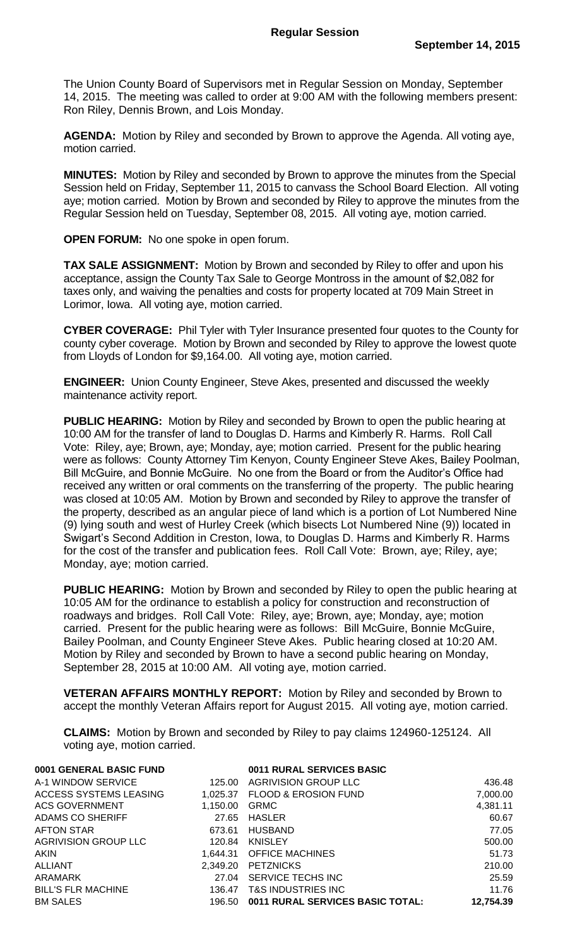The Union County Board of Supervisors met in Regular Session on Monday, September 14, 2015. The meeting was called to order at 9:00 AM with the following members present: Ron Riley, Dennis Brown, and Lois Monday.

**AGENDA:** Motion by Riley and seconded by Brown to approve the Agenda. All voting aye, motion carried.

**MINUTES:** Motion by Riley and seconded by Brown to approve the minutes from the Special Session held on Friday, September 11, 2015 to canvass the School Board Election. All voting aye; motion carried. Motion by Brown and seconded by Riley to approve the minutes from the Regular Session held on Tuesday, September 08, 2015. All voting aye, motion carried.

**OPEN FORUM:** No one spoke in open forum.

**TAX SALE ASSIGNMENT:** Motion by Brown and seconded by Riley to offer and upon his acceptance, assign the County Tax Sale to George Montross in the amount of \$2,082 for taxes only, and waiving the penalties and costs for property located at 709 Main Street in Lorimor, Iowa. All voting aye, motion carried.

**CYBER COVERAGE:** Phil Tyler with Tyler Insurance presented four quotes to the County for county cyber coverage. Motion by Brown and seconded by Riley to approve the lowest quote from Lloyds of London for \$9,164.00. All voting aye, motion carried.

**ENGINEER:** Union County Engineer, Steve Akes, presented and discussed the weekly maintenance activity report.

**PUBLIC HEARING:** Motion by Riley and seconded by Brown to open the public hearing at 10:00 AM for the transfer of land to Douglas D. Harms and Kimberly R. Harms. Roll Call Vote: Riley, aye; Brown, aye; Monday, aye; motion carried. Present for the public hearing were as follows: County Attorney Tim Kenyon, County Engineer Steve Akes, Bailey Poolman, Bill McGuire, and Bonnie McGuire. No one from the Board or from the Auditor's Office had received any written or oral comments on the transferring of the property. The public hearing was closed at 10:05 AM. Motion by Brown and seconded by Riley to approve the transfer of the property, described as an angular piece of land which is a portion of Lot Numbered Nine (9) lying south and west of Hurley Creek (which bisects Lot Numbered Nine (9)) located in Swigart's Second Addition in Creston, Iowa, to Douglas D. Harms and Kimberly R. Harms for the cost of the transfer and publication fees. Roll Call Vote: Brown, aye; Riley, aye; Monday, aye; motion carried.

**PUBLIC HEARING:** Motion by Brown and seconded by Riley to open the public hearing at 10:05 AM for the ordinance to establish a policy for construction and reconstruction of roadways and bridges. Roll Call Vote: Riley, aye; Brown, aye; Monday, aye; motion carried. Present for the public hearing were as follows: Bill McGuire, Bonnie McGuire, Bailey Poolman, and County Engineer Steve Akes. Public hearing closed at 10:20 AM. Motion by Riley and seconded by Brown to have a second public hearing on Monday, September 28, 2015 at 10:00 AM. All voting aye, motion carried.

**VETERAN AFFAIRS MONTHLY REPORT:** Motion by Riley and seconded by Brown to accept the monthly Veteran Affairs report for August 2015. All voting aye, motion carried.

**CLAIMS:** Motion by Brown and seconded by Riley to pay claims 124960-125124. All voting aye, motion carried.

| 0001 GENERAL BASIC FUND     |          | 0011 RURAL SERVICES BASIC               |           |
|-----------------------------|----------|-----------------------------------------|-----------|
| A-1 WINDOW SERVICE          | 125.00   | AGRIVISION GROUP LLC                    | 436.48    |
| ACCESS SYSTEMS LEASING      | 1,025.37 | <b>FLOOD &amp; EROSION FUND</b>         | 7,000.00  |
| <b>ACS GOVERNMENT</b>       | 1,150.00 | <b>GRMC</b>                             | 4,381.11  |
| ADAMS CO SHERIFF            | 27.65    | <b>HASLER</b>                           | 60.67     |
| <b>AFTON STAR</b>           | 673.61   | HUSBAND                                 | 77.05     |
| <b>AGRIVISION GROUP LLC</b> | 120.84   | <b>KNISLEY</b>                          | 500.00    |
| <b>AKIN</b>                 | 1.644.31 | <b>OFFICE MACHINES</b>                  | 51.73     |
| <b>ALLIANT</b>              | 2.349.20 | PETZNICKS                               | 210.00    |
| ARAMARK                     | 27.04    | SERVICE TECHS INC                       | 25.59     |
| <b>BILL'S FLR MACHINE</b>   | 136.47   | T&S INDUSTRIES INC                      | 11.76     |
| <b>BM SALES</b>             | 196.50   | <b>0011 RURAL SERVICES BASIC TOTAL:</b> | 12,754.39 |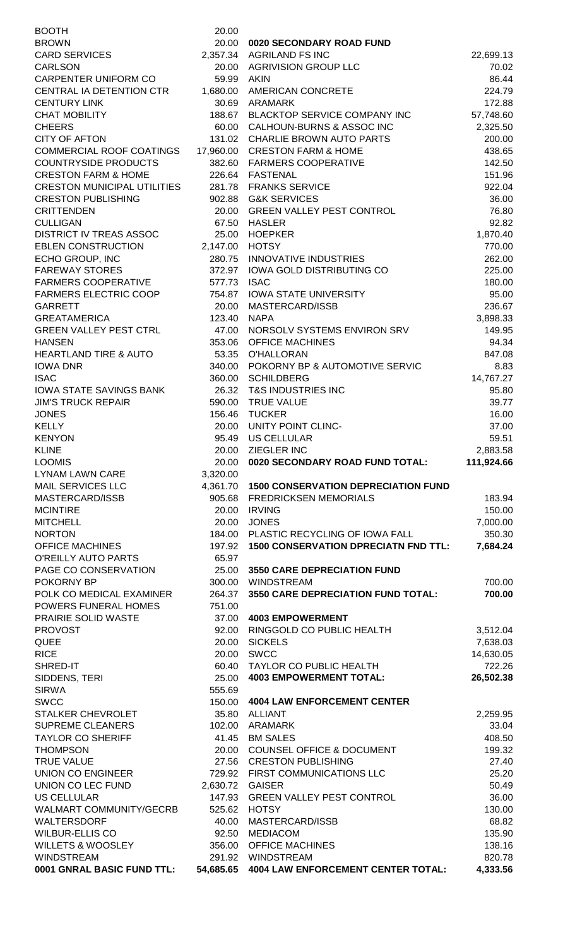| <b>BOOTH</b>                                                                             | 20.00            |                                                 |                        |
|------------------------------------------------------------------------------------------|------------------|-------------------------------------------------|------------------------|
| <b>BROWN</b>                                                                             | 20.00            | 0020 SECONDARY ROAD FUND                        |                        |
| <b>CARD SERVICES</b>                                                                     |                  | 2,357.34 AGRILAND FS INC                        | 22,699.13              |
| <b>CARLSON</b>                                                                           |                  | 20.00 AGRIVISION GROUP LLC                      | 70.02                  |
| <b>CARPENTER UNIFORM CO</b>                                                              | 59.99 AKIN       |                                                 | 86.44                  |
| CENTRAL IA DETENTION CTR<br><b>CENTURY LINK</b>                                          | 1,680.00         | <b>AMERICAN CONCRETE</b><br>30.69 ARAMARK       | 224.79<br>172.88       |
| <b>CHAT MOBILITY</b>                                                                     |                  | 188.67 BLACKTOP SERVICE COMPANY INC             | 57,748.60              |
| <b>CHEERS</b>                                                                            |                  | 60.00 CALHOUN-BURNS & ASSOC INC                 | 2,325.50               |
| <b>CITY OF AFTON</b>                                                                     | 131.02           | CHARLIE BROWN AUTO PARTS                        | 200.00                 |
| COMMERCIAL ROOF COATINGS                                                                 |                  | 17,960.00 CRESTON FARM & HOME                   | 438.65                 |
| <b>COUNTRYSIDE PRODUCTS</b>                                                              |                  | 382.60 FARMERS COOPERATIVE                      | 142.50                 |
| <b>CRESTON FARM &amp; HOME</b>                                                           |                  | 226.64 FASTENAL                                 | 151.96                 |
| <b>CRESTON MUNICIPAL UTILITIES</b>                                                       |                  | 281.78 FRANKS SERVICE                           | 922.04                 |
| <b>CRESTON PUBLISHING</b>                                                                |                  | 902.88 G&K SERVICES                             | 36.00                  |
| <b>CRITTENDEN</b>                                                                        |                  | 20.00 GREEN VALLEY PEST CONTROL<br>67.50 HASLER | 76.80                  |
| <b>CULLIGAN</b><br><b>DISTRICT IV TREAS ASSOC</b>                                        | 25.00            | <b>HOEPKER</b>                                  | 92.82<br>1,870.40      |
| <b>EBLEN CONSTRUCTION</b>                                                                | 2,147.00 HOTSY   |                                                 | 770.00                 |
| ECHO GROUP, INC                                                                          |                  | 280.75 INNOVATIVE INDUSTRIES                    | 262.00                 |
| <b>FAREWAY STORES</b>                                                                    |                  | 372.97 IOWA GOLD DISTRIBUTING CO                | 225.00                 |
| <b>FARMERS COOPERATIVE</b>                                                               | 577.73 ISAC      |                                                 | 180.00                 |
| <b>FARMERS ELECTRIC COOP</b>                                                             |                  | 754.87 IOWA STATE UNIVERSITY                    | 95.00                  |
| <b>GARRETT</b>                                                                           | 20.00            | MASTERCARD/ISSB                                 | 236.67                 |
| <b>GREATAMERICA</b>                                                                      | 123.40           | NAPA                                            | 3,898.33               |
| <b>GREEN VALLEY PEST CTRL</b>                                                            | 47.00            | NORSOLV SYSTEMS ENVIRON SRV                     | 149.95                 |
| <b>HANSEN</b><br><b>HEARTLAND TIRE &amp; AUTO</b>                                        | 353.06<br>53.35  | <b>OFFICE MACHINES</b><br><b>O'HALLORAN</b>     | 94.34<br>847.08        |
| <b>IOWA DNR</b>                                                                          | 340.00           | POKORNY BP & AUTOMOTIVE SERVIC                  | 8.83                   |
| <b>ISAC</b>                                                                              | 360.00           | <b>SCHILDBERG</b>                               | 14,767.27              |
| <b>IOWA STATE SAVINGS BANK</b>                                                           |                  | 26.32 T&S INDUSTRIES INC                        | 95.80                  |
| <b>JIM'S TRUCK REPAIR</b>                                                                |                  | 590.00 TRUE VALUE                               | 39.77                  |
| <b>JONES</b>                                                                             |                  | 156.46 TUCKER                                   | 16.00                  |
| <b>KELLY</b>                                                                             |                  | 20.00 UNITY POINT CLINC-                        | 37.00                  |
| <b>KENYON</b>                                                                            | 95.49            | US CELLULAR                                     | 59.51                  |
| <b>KLINE</b><br><b>LOOMIS</b>                                                            | 20.00<br>20.00   | ZIEGLER INC<br>0020 SECONDARY ROAD FUND TOTAL:  | 2,883.58<br>111,924.66 |
| <b>LYNAM LAWN CARE</b>                                                                   | 3,320.00         |                                                 |                        |
| <b>MAIL SERVICES LLC</b>                                                                 |                  | 4,361.70 1500 CONSERVATION DEPRECIATION FUND    |                        |
| MASTERCARD/ISSB                                                                          | 905.68           | <b>FREDRICKSEN MEMORIALS</b>                    | 183.94                 |
| <b>MCINTIRE</b>                                                                          | 20.00            | <b>IRVING</b>                                   | 150.00                 |
| <b>MITCHELL</b>                                                                          | 20.00            | <b>JONES</b>                                    | 7,000.00               |
| <b>NORTON</b>                                                                            | 184.00           | PLASTIC RECYCLING OF IOWA FALL                  | 350.30                 |
| <b>OFFICE MACHINES</b>                                                                   | 197.92           | <b>1500 CONSERVATION DPRECIATN FND TTL:</b>     | 7,684.24               |
| O'REILLY AUTO PARTS                                                                      |                  |                                                 |                        |
|                                                                                          | 65.97            |                                                 |                        |
| PAGE CO CONSERVATION                                                                     | 25.00            | <b>3550 CARE DEPRECIATION FUND</b>              |                        |
| POKORNY BP                                                                               | 300.00           | WINDSTREAM                                      | 700.00                 |
| POLK CO MEDICAL EXAMINER<br>POWERS FUNERAL HOMES                                         | 264.37<br>751.00 | 3550 CARE DEPRECIATION FUND TOTAL:              | 700.00                 |
| PRAIRIE SOLID WASTE                                                                      | 37.00            | <b>4003 EMPOWERMENT</b>                         |                        |
| <b>PROVOST</b>                                                                           | 92.00            | RINGGOLD CO PUBLIC HEALTH                       | 3,512.04               |
| <b>QUEE</b>                                                                              | 20.00            | <b>SICKELS</b>                                  | 7,638.03               |
| <b>RICE</b>                                                                              | 20.00            | <b>SWCC</b>                                     | 14,630.05              |
| SHRED-IT                                                                                 | 60.40            | TAYLOR CO PUBLIC HEALTH                         | 722.26                 |
| SIDDENS, TERI                                                                            | 25.00            | <b>4003 EMPOWERMENT TOTAL:</b>                  | 26,502.38              |
| <b>SIRWA</b>                                                                             | 555.69           |                                                 |                        |
| <b>SWCC</b>                                                                              | 150.00           | <b>4004 LAW ENFORCEMENT CENTER</b>              |                        |
| STALKER CHEVROLET<br><b>SUPREME CLEANERS</b>                                             | 35.80<br>102.00  | <b>ALLIANT</b><br>ARAMARK                       | 2,259.95<br>33.04      |
|                                                                                          | 41.45            | <b>BM SALES</b>                                 | 408.50                 |
| <b>TAYLOR CO SHERIFF</b><br><b>THOMPSON</b>                                              | 20.00            | <b>COUNSEL OFFICE &amp; DOCUMENT</b>            | 199.32                 |
| <b>TRUE VALUE</b>                                                                        |                  | 27.56 CRESTON PUBLISHING                        | 27.40                  |
| <b>UNION CO ENGINEER</b>                                                                 |                  | 729.92 FIRST COMMUNICATIONS LLC                 | 25.20                  |
|                                                                                          | 2,630.72 GAISER  |                                                 | 50.49                  |
|                                                                                          | 147.93           | <b>GREEN VALLEY PEST CONTROL</b>                | 36.00                  |
|                                                                                          | 525.62           | <b>HOTSY</b>                                    | 130.00                 |
| UNION CO LEC FUND<br><b>US CELLULAR</b><br><b>WALMART COMMUNITY/GECRB</b><br>WALTERSDORF | 40.00            | MASTERCARD/ISSB                                 | 68.82                  |
| <b>WILBUR-ELLIS CO</b><br><b>WILLETS &amp; WOOSLEY</b>                                   | 92.50            | <b>MEDIACOM</b><br>356.00 OFFICE MACHINES       | 135.90<br>138.16       |
| <b>WINDSTREAM</b>                                                                        |                  | 291.92 WINDSTREAM                               | 820.78                 |